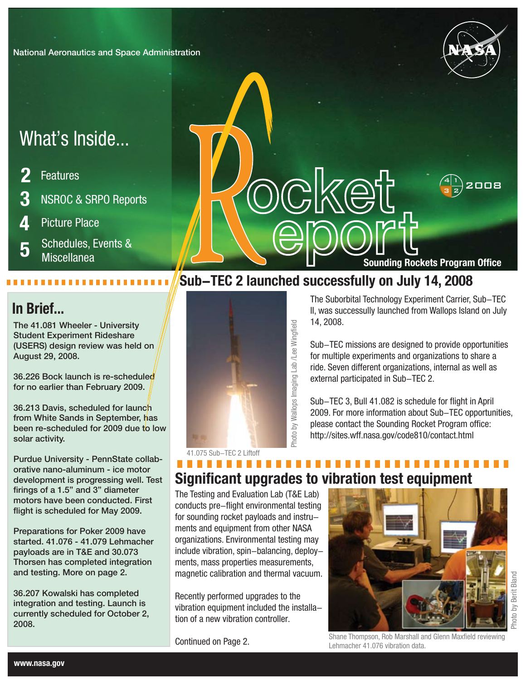National Aeronautics and Space Administration

# What's Inside...

- **2 3 4** Features NSROC & SRPO Reports Picture Place
- Schedules, Events & Miscellanea **5**

## **In Brief...**

The 41.081 Wheeler - University Student Experiment Rideshare (USERS) design review was held on August 29, 2008.

36.226 Bock launch is re-scheduled for no earlier than February 2009.

36.213 Davis, scheduled for launch from White Sands in September, has been re-scheduled for 2009 due to low solar activity.

Purdue University - PennState collaborative nano-aluminum - ice motor development is progressing well. Test firings of a 1.5" and 3" diameter motors have been conducted. First flight is scheduled for May 2009.

Preparations for Poker 2009 have started. 41.076 - 41.079 Lehmacher payloads are in T&E and 30.073 Thorsen has completed integration and testing. More on page 2.

36.207 Kowalski has completed integration and testing. Launch is currently scheduled for October 2, 2008.

14, 2008. Sub-TEC missions are designed to provide opportunities

The Suborbital Technology Experiment Carrier, Sub-TEC II, was successully launched from Wallops Island on July

**Sounding Rockets Program Office**

for multiple experiments and organizations to share a ride. Seven different organizations, internal as well as external participated in Sub-TEC 2.

Sub-TEC 3, Bull 41.082 is schedule for flight in April 2009. For more information about Sub-TEC opportunities, please contact the Sounding Rocket Program office: http://sites.wff.nasa.gov/code810/contact.html

## ............... **Significant upgrades to vibration test equipment**

**Sub-TEC 2 launched successfully on July 14, 2008** 

The Testing and Evaluation Lab (T&E Lab) conducts pre-flight environmental testing for sounding rocket payloads and instruments and equipment from other NASA organizations. Environmental testing may include vibration, spin-balancing, deployments, mass properties measurements, magnetic calibration and thermal vacuum.

Recently performed upgrades to the vibration equipment included the installation of a new vibration controller.

Continued on Page 2.





2008 <sup>1</sup>

 $3|2$ 4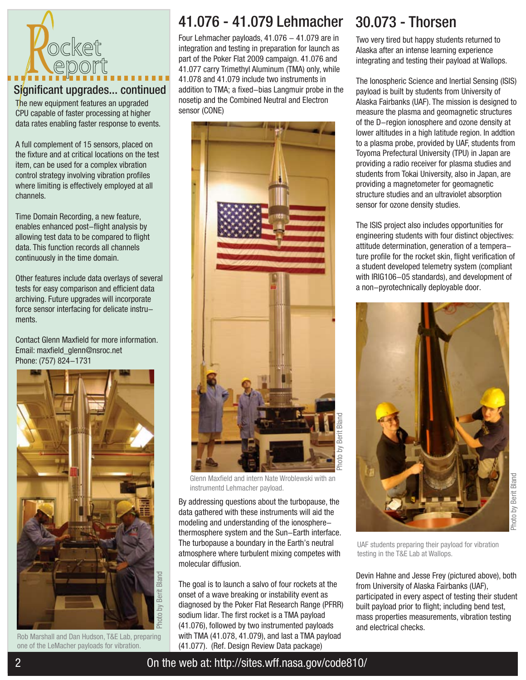

### Significant upgrades... continued

The new equipment features an upgraded CPU capable of faster processing at higher data rates enabling faster response to events.

A full complement of 15 sensors, placed on the fixture and at critical locations on the test item, can be used for a complex vibration control strategy involving vibration profiles where limiting is effectively employed at all channels.

Time Domain Recording, a new feature, enables enhanced post-flight analysis by allowing test data to be compared to flight data. This function records all channels continuously in the time domain.

Other features include data overlays of several tests for easy comparison and efficient data archiving. Future upgrades will incorporate force sensor interfacing for delicate instruments.

Contact Glenn Maxfield for more information. Email: maxfield\_glenn@nsroc.net Phone: (757) 824-1731



Rob Marshall and Dan Hudson, T&E Lab, preparing one of the LeMacher payloads for vibration.

## 41.076 - 41.079 Lehmacher 30.073 - Thorsen

Four Lehmacher payloads,  $41.076 - 41.079$  are in integration and testing in preparation for launch as part of the Poker Flat 2009 campaign. 41.076 and 41.077 carry Trimethyl Aluminum (TMA) only, while 41.078 and 41.079 include two instruments in addition to TMA; a fixed-bias Langmuir probe in the nosetip and the Combined Neutral and Electron sensor (CONE)



Glenn Maxfield and intern Nate Wroblewski with an instrumentd Lehmacher payload.

By addressing questions about the turbopause, the data gathered with these instruments will aid the modeling and understanding of the ionospherethermosphere system and the Sun-Earth interface. The turbopause a boundary in the Earth's neutral atmosphere where turbulent mixing competes with molecular diffusion.

The goal is to launch a salvo of four rockets at the onset of a wave breaking or instability event as diagnosed by the Poker Flat Research Range (PFRR) sodium lidar. The first rocket is a TMA payload (41.076), followed by two instrumented payloads with TMA (41.078, 41.079), and last a TMA payload (41.077). (Ref. Design Review Data package)

Two very tired but happy students returned to Alaska after an intense learning experience integrating and testing their payload at Wallops.

The Ionospheric Science and Inertial Sensing (ISIS) payload is built by students from University of Alaska Fairbanks (UAF). The mission is designed to measure the plasma and geomagnetic structures of the D-region ionosphere and ozone density at lower altitudes in a high latitude region. In addtion to a plasma probe, provided by UAF, students from Toyoma Prefectural University (TPU) in Japan are providing a radio receiver for plasma studies and students from Tokai University, also in Japan, are providing a magnetometer for geomagnetic structure studies and an ultraviolet absorption sensor for ozone density studies.

The ISIS project also includes opportunities for engineering students with four distinct objectives: attitude determination, generation of a temperature profile for the rocket skin, flight verification of a student developed telemetry system (compliant with IRIG106-05 standards), and development of a non-pyrotechnically deployable door.



UAF students preparing their payload for vibration testing in the T&E Lab at Wallops.

Devin Hahne and Jesse Frey (pictured above), both from University of Alaska Fairbanks (UAF), participated in every aspect of testing their student built payload prior to flight; including bend test, mass properties measurements, vibration testing and electrical checks.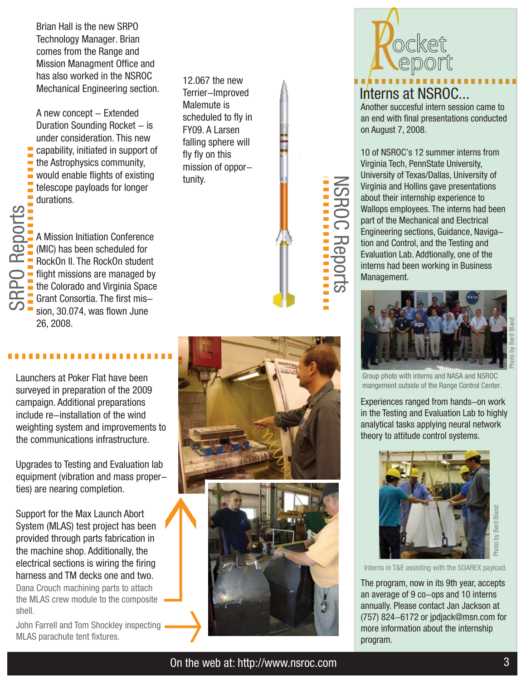Brian Hall is the new SRPO Technology Manager. Brian comes from the Range and Mission Managment Office and has also worked in the NSROC Mechanical Engineering section.

A new concept - Extended Duration Sounding Rocket  $-$  is under consideration. This new capability, initiated in support of the Astrophysics community, would enable flights of existing telescope payloads for longer durations.

12.067 the new Terrier-Improved Malemute is scheduled to fly in FY09. A Larsen falling sphere will fly fly on this mission of opportunity.

A Mission Initiation Conference (MIC) has been scheduled for RockOn II. The RockOn student flight missions are managed by the Colorado and Virginia Space Grant Consortia. The first mission, 30.074, was flown June 26, 2008.

Launchers at Poker Flat have been surveyed in preparation of the 2009 campaign. Additional preparations include re-installation of the wind weighting system and improvements to the communications infrastructure.

Upgrades to Testing and Evaluation lab equipment (vibration and mass properties) are nearing completion.

Support for the Max Launch Abort System (MLAS) test project has been provided through parts fabrication in the machine shop. Additionally, the electrical sections is wiring the firing electrical sections is withing the fifting<br>harness and TM decks one and two. Dana Crouch machining parts to attach the MLAS crew module to the composite shell.

John Farrell and Tom Shockley inspecting MLAS parachute tent fixtures.





## Interns at NSROC...

Another succesful intern session came to an end with final presentations conducted on August 7, 2008.

10 of NSROC's 12 summer interns from Virginia Tech, PennState University, University of Texas/Dallas, University of Virginia and Hollins gave presentations about their internship experience to Wallops employees. The interns had been part of the Mechanical and Electrical Engineering sections, Guidance, Navigation and Control, and the Testing and Evaluation Lab. Addtionally, one of the interns had been working in Business Management.

NSROC Reports

**NSROC Reports** 



Group photo with interns and NASA and NSROC mangement outside of the Range Control Center.

Experiences ranged from hands-on work in the Testing and Evaluation Lab to highly analytical tasks applying neural network theory to attitude control systems.



The program, now in its 9th year, accepts an average of 9 co-ops and 10 interns annually. Please contact Jan Jackson at (757) 824-6172 or jpdjack@msn.com for more information about the internship program.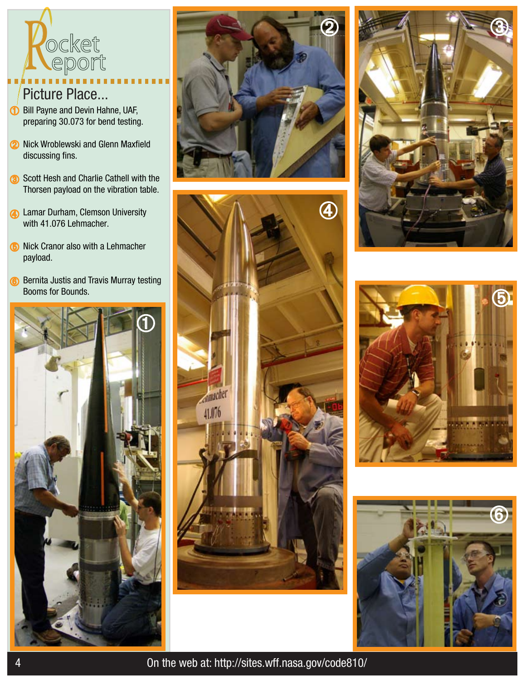

## Picture Place...

- **D** Bill Payne and Devin Hahne, UAF, preparing 30.073 for bend testing.
- **2** Nick Wroblewski and Glenn Maxfield discussing fins.
- Scott Hesh and Charlie Cathell with the Thorsen payload on the vibration table.
- **4** Lamar Durham, Clemson University with 41.076 Lehmacher.
- **6** Nick Cranor also with a Lehmacher payload.
- **6** Bernita Justis and Travis Murray testing Booms for Bounds.













4 On the web at: http://sites.wff.nasa.gov/code810/